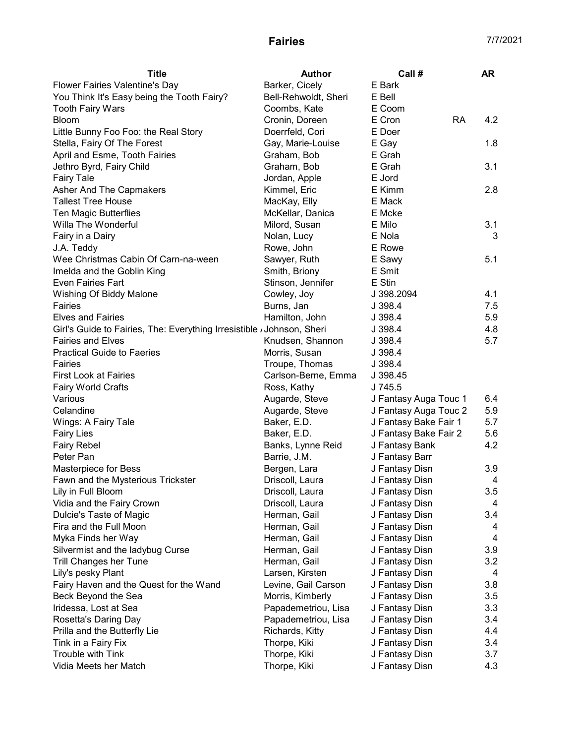| <b>Title</b>                                                           | <b>Author</b>        | Call #                | <b>AR</b> |
|------------------------------------------------------------------------|----------------------|-----------------------|-----------|
| Flower Fairies Valentine's Day                                         | Barker, Cicely       | E Bark                |           |
| You Think It's Easy being the Tooth Fairy?                             | Bell-Rehwoldt, Sheri | E Bell                |           |
| <b>Tooth Fairy Wars</b>                                                | Coombs, Kate         | E Coom                |           |
| Bloom                                                                  | Cronin, Doreen       | E Cron<br><b>RA</b>   | 4.2       |
| Little Bunny Foo Foo: the Real Story                                   | Doerrfeld, Cori      | E Doer                |           |
| Stella, Fairy Of The Forest                                            | Gay, Marie-Louise    | E Gay                 | 1.8       |
| April and Esme, Tooth Fairies                                          | Graham, Bob          | E Grah                |           |
| Jethro Byrd, Fairy Child                                               | Graham, Bob          | E Grah                | 3.1       |
| <b>Fairy Tale</b>                                                      | Jordan, Apple        | E Jord                |           |
| Asher And The Capmakers                                                | Kimmel, Eric         | E Kimm                | 2.8       |
| <b>Tallest Tree House</b>                                              | MacKay, Elly         | E Mack                |           |
| Ten Magic Butterflies                                                  | McKellar, Danica     | E Mcke                |           |
| Willa The Wonderful                                                    | Milord, Susan        | E Milo                | 3.1       |
| Fairy in a Dairy                                                       | Nolan, Lucy          | E Nola                | 3         |
| J.A. Teddy                                                             | Rowe, John           | E Rowe                |           |
| Wee Christmas Cabin Of Carn-na-ween                                    | Sawyer, Ruth         | E Sawy                | 5.1       |
| Imelda and the Goblin King                                             | Smith, Briony        | E Smit                |           |
| Even Fairies Fart                                                      | Stinson, Jennifer    | E Stin                |           |
| Wishing Of Biddy Malone                                                | Cowley, Joy          | J 398.2094            | 4.1       |
| Fairies                                                                | Burns, Jan           | J 398.4               | 7.5       |
| <b>Elves and Fairies</b>                                               | Hamilton, John       | J 398.4               | 5.9       |
| Girl's Guide to Fairies, The: Everything Irresistible / Johnson, Sheri |                      | J 398.4               | 4.8       |
| <b>Fairies and Elves</b>                                               | Knudsen, Shannon     | J 398.4               | 5.7       |
| <b>Practical Guide to Faeries</b>                                      | Morris, Susan        | J 398.4               |           |
| Fairies                                                                | Troupe, Thomas       | J 398.4               |           |
| <b>First Look at Fairies</b>                                           | Carlson-Berne, Emma  | J 398.45              |           |
| <b>Fairy World Crafts</b>                                              | Ross, Kathy          | J 745.5               |           |
| Various                                                                | Augarde, Steve       | J Fantasy Auga Touc 1 | 6.4       |
| Celandine                                                              | Augarde, Steve       | J Fantasy Auga Touc 2 | 5.9       |
| Wings: A Fairy Tale                                                    | Baker, E.D.          | J Fantasy Bake Fair 1 | 5.7       |
| <b>Fairy Lies</b>                                                      | Baker, E.D.          | J Fantasy Bake Fair 2 | 5.6       |
| <b>Fairy Rebel</b>                                                     | Banks, Lynne Reid    | J Fantasy Bank        | 4.2       |
| Peter Pan                                                              | Barrie, J.M.         | J Fantasy Barr        |           |
| Masterpiece for Bess                                                   | Bergen, Lara         | J Fantasy Disn        | 3.9       |
| Fawn and the Mysterious Trickster                                      | Driscoll, Laura      | J Fantasy Disn        | 4         |
| Lily in Full Bloom                                                     | Driscoll, Laura      | J Fantasy Disn        | 3.5       |
| Vidia and the Fairy Crown                                              | Driscoll, Laura      | J Fantasy Disn        | 4         |
| Dulcie's Taste of Magic                                                | Herman, Gail         | J Fantasy Disn        | 3.4       |
| Fira and the Full Moon                                                 | Herman, Gail         | J Fantasy Disn        | 4         |
| Myka Finds her Way                                                     | Herman, Gail         | J Fantasy Disn        | 4         |
| Silvermist and the ladybug Curse                                       | Herman, Gail         | J Fantasy Disn        | 3.9       |
| <b>Trill Changes her Tune</b>                                          | Herman, Gail         | J Fantasy Disn        | 3.2       |
| Lily's pesky Plant                                                     | Larsen, Kirsten      | J Fantasy Disn        | 4         |
| Fairy Haven and the Quest for the Wand                                 | Levine, Gail Carson  | J Fantasy Disn        | 3.8       |
| Beck Beyond the Sea                                                    | Morris, Kimberly     | J Fantasy Disn        | 3.5       |
| Iridessa, Lost at Sea                                                  | Papademetriou, Lisa  | J Fantasy Disn        | 3.3       |
| Rosetta's Daring Day                                                   | Papademetriou, Lisa  | J Fantasy Disn        | 3.4       |
| Prilla and the Butterfly Lie                                           | Richards, Kitty      | J Fantasy Disn        | 4.4       |
| Tink in a Fairy Fix                                                    | Thorpe, Kiki         | J Fantasy Disn        | 3.4       |
| Trouble with Tink                                                      | Thorpe, Kiki         | J Fantasy Disn        | 3.7       |
| Vidia Meets her Match                                                  | Thorpe, Kiki         | J Fantasy Disn        | 4.3       |
|                                                                        |                      |                       |           |